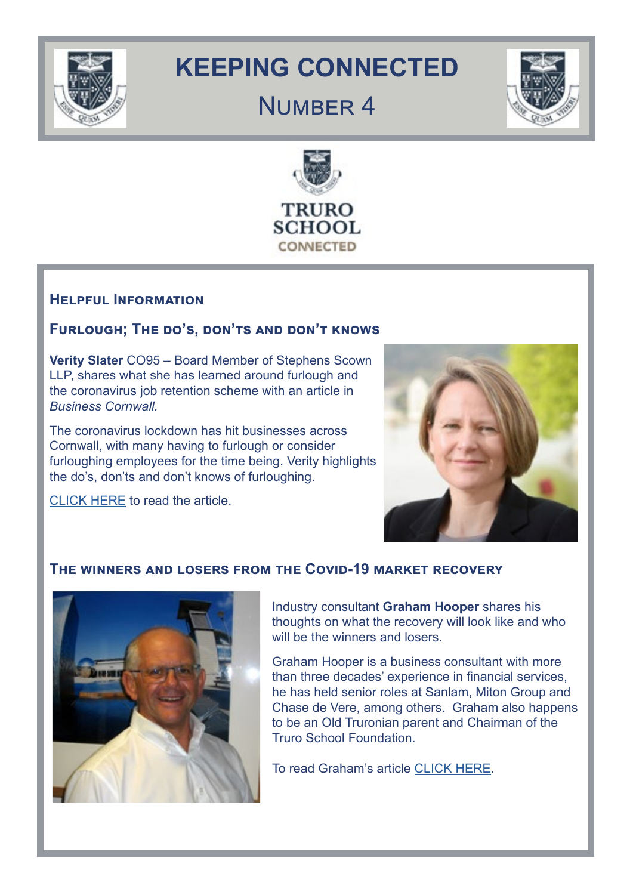

## **KEEPING CONNECTED**

## NUMBER 4





## **Helpful Information**

## **Furlough; The do's, don'ts and don't knows**

**Verity Slater** CO95 – Board Member of Stephens Scown LLP, shares what she has learned around furlough and the coronavirus job retention scheme with an article in *Business Cornwall.*

The coronavirus lockdown has hit businesses across Cornwall, with many having to furlough or consider furloughing employees for the time being. Verity highlights the do's, don'ts and don't knows of furloughing.

[CLICK HERE](https://businesscornwall.co.uk/featured-posts/2020/04/furlough-the-dos-donts-and-dont-knows/) to read the article.



## **The winners and losers from the Covid-19 market recovery**



Industry consultant **Graham Hooper** shares his thoughts on what the recovery will look like and who will be the winners and losers.

Graham Hooper is a business consultant with more than three decades' experience in financial services, he has held senior roles at Sanlam, Miton Group and Chase de Vere, among others. Graham also happens to be an Old Truronian parent and Chairman of the Truro School Foundation.

To read Graham's article [CLICK HERE.](https://citywire.co.uk/new-model-adviser/news/the-winners-and-losers-from-the-covid-19-market-recovery/a1351044?ref=new_model_adviser_latest_news_list)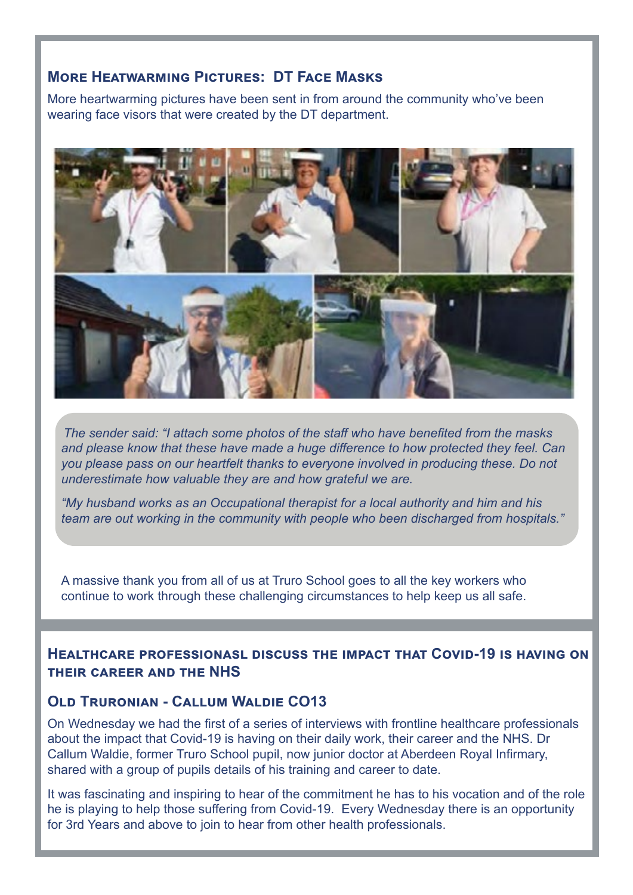## **More Heatwarming Pictures: DT Face Masks**

More heartwarming pictures have been sent in from around the community who've been wearing face visors that were created by the DT department.



*The sender said: "I attach some photos of the staff who have benefited from the masks and please know that these have made a huge difference to how protected they feel. Can you please pass on our heartfelt thanks to everyone involved in producing these. Do not underestimate how valuable they are and how grateful we are.* 

*"My husband works as an Occupational therapist for a local authority and him and his team are out working in the community with people who been discharged from hospitals."*

A massive thank you from all of us at Truro School goes to all the key workers who continue to work through these challenging circumstances to help keep us all safe.

#### **Healthcare professionasl discuss the impact that Covid-19 is having on their career and the NHS**

## **OLD TRURONIAN - CALLUM WALDIE CO13**

On Wednesday we had the first of a series of interviews with frontline healthcare professionals about the impact that Covid-19 is having on their daily work, their career and the NHS. Dr Callum Waldie, former Truro School pupil, now junior doctor at Aberdeen Royal Infirmary, shared with a group of pupils details of his training and career to date.

It was fascinating and inspiring to hear of the commitment he has to his vocation and of the role he is playing to help those suffering from Covid-19. Every Wednesday there is an opportunity for 3rd Years and above to join to hear from other health professionals.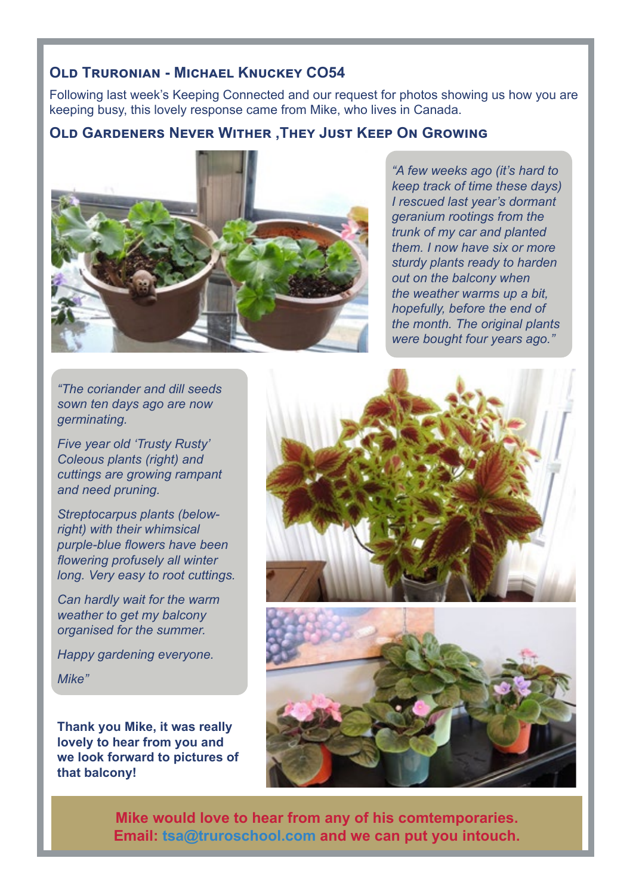## **Old Truronian - Michael Knuckey CO54**

Following last week's Keeping Connected and our request for photos showing us how you are keeping busy, this lovely response came from Mike, who lives in Canada.

## **Old Gardeners Never Wither ,They Just Keep On Growing**



*"A few weeks ago (it's hard to keep track of time these days) I rescued last year's dormant geranium rootings from the trunk of my car and planted them. I now have six or more sturdy plants ready to harden out on the balcony when the weather warms up a bit, hopefully, before the end of the month. The original plants were bought four years ago."*

*"The coriander and dill seeds sown ten days ago are now germinating.* 

*Five year old 'Trusty Rusty' Coleous plants (right) and cuttings are growing rampant and need pruning.* 

*Streptocarpus plants (belowright) with their whimsical purple-blue flowers have been flowering profusely all winter long. Very easy to root cuttings.*

*Can hardly wait for the warm weather to get my balcony organised for the summer.*

*Happy gardening everyone.*

*Mike"*

**Thank you Mike, it was really lovely to hear from you and we look forward to pictures of that balcony!**





**Mike would love to hear from any of his comtemporaries. Email: tsa@truroschool.com and we can put you intouch.**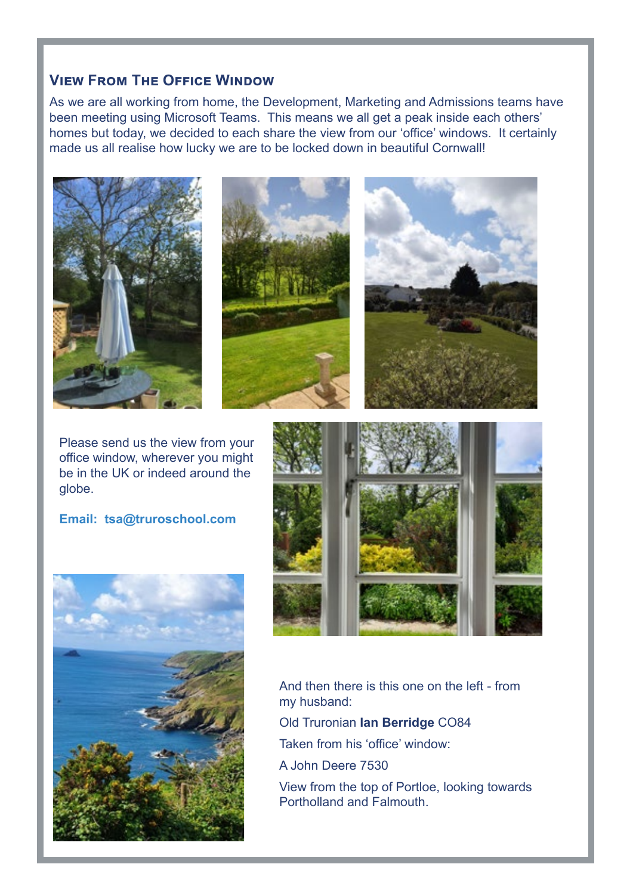## **View From The Office Window**

As we are all working from home, the Development, Marketing and Admissions teams have been meeting using Microsoft Teams. This means we all get a peak inside each others' homes but today, we decided to each share the view from our 'office' windows. It certainly made us all realise how lucky we are to be locked down in beautiful Cornwall!



Please send us the view from your office window, wherever you might be in the UK or indeed around the globe.

**Email: tsa@truroschool.com** 





And then there is this one on the left - from my husband: Old Truronian **Ian Berridge** CO84 Taken from his 'office' window: A John Deere 7530 View from the top of Portloe, looking towards Portholland and Falmouth.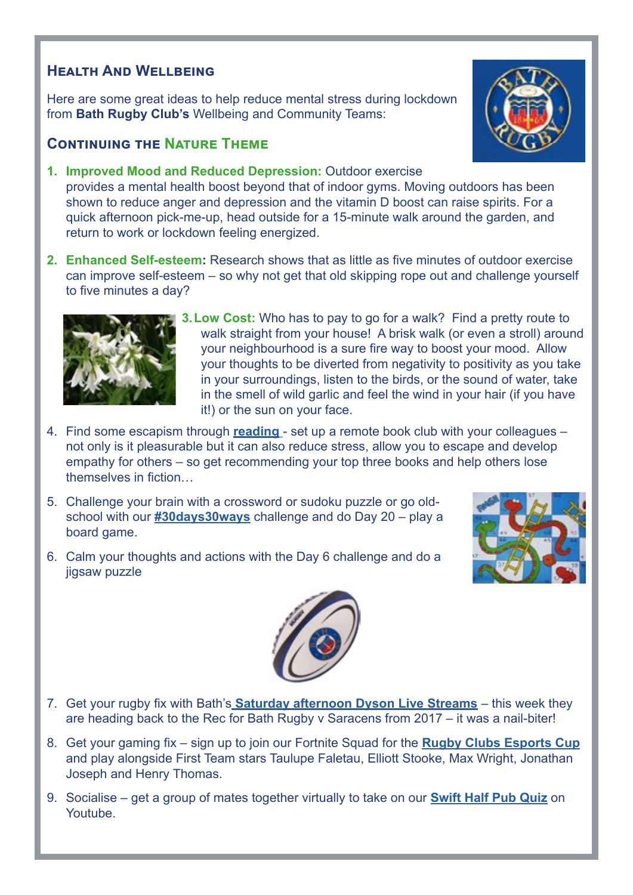## **Health And Wellbeing**

Here are some great ideas to help reduce mental stress during lockdown from **Bath Rugby Club's** Wellbeing and Community Teams:

## **Continuing the Nature Theme**

**1. Improved Mood and Reduced Depression:** Outdoor exercise

provides a mental health boost beyond that of indoor gyms. Moving outdoors has been shown to reduce anger and depression and the vitamin D boost can raise spirits. For a quick afternoon pick-me-up, head outside for a 15-minute walk around the garden, and return to work or lockdown feeling energized.

**2. Enhanced Self-esteem:** Research shows that as little as five minutes of outdoor exercise can improve self-esteem – so why not get that old skipping rope out and challenge yourself to five minutes a day?



jigsaw puzzle

- **3.Low Cost:** Who has to pay to go for a walk? Find a pretty route to walk straight from your house! A brisk walk (or even a stroll) around your neighbourhood is a sure fire way to boost your mood. Allow your thoughts to be diverted from negativity to positivity as you take in your surroundings, listen to the birds, or the sound of water, take in the smell of wild garlic and feel the wind in your hair (if you have it!) or the sun on your face.
- 4. Find some escapism through **[reading](https://mhfaengland.org/mhfa-centre/blog/reading-good-mental-health/)** set up a remote book club with your colleagues not only is it pleasurable but it can also reduce stress, allow you to escape and develop empathy for others – so get recommending your top three books and help others lose themselves in fiction…
- 5. Challenge your brain with a crossword or sudoku puzzle or go oldschool with our **[#30days30ways](https://www.bathrugby.com/community/30-days-30-ways/)** challenge and do Day 20 – play a board game.

6. Calm your thoughts and actions with the Day 6 challenge and do a





- 7. Get your rugby fix with Bath's **[Saturday afternoon Dyson Live Streams](https://www.bathrugby.com/community/live-stream/)** this week they are heading back to the Rec for Bath Rugby v Saracens from 2017 – it was a nail-biter!
- 8. Get your gaming fix sign up to join our Fortnite Squad for the **[Rugby Clubs Esports Cup](https://www.bathrugby.com/news/join-bath-rugbys-fortnite-squad/)** and play alongside First Team stars Taulupe Faletau, Elliott Stooke, Max Wright, Jonathan Joseph and Henry Thomas.
- 9. Socialise get a group of mates together virtually to take on our **[Swift Half Pub Quiz](https://www.bathrugby.com/community/pub-quiz/)** on Youtube.

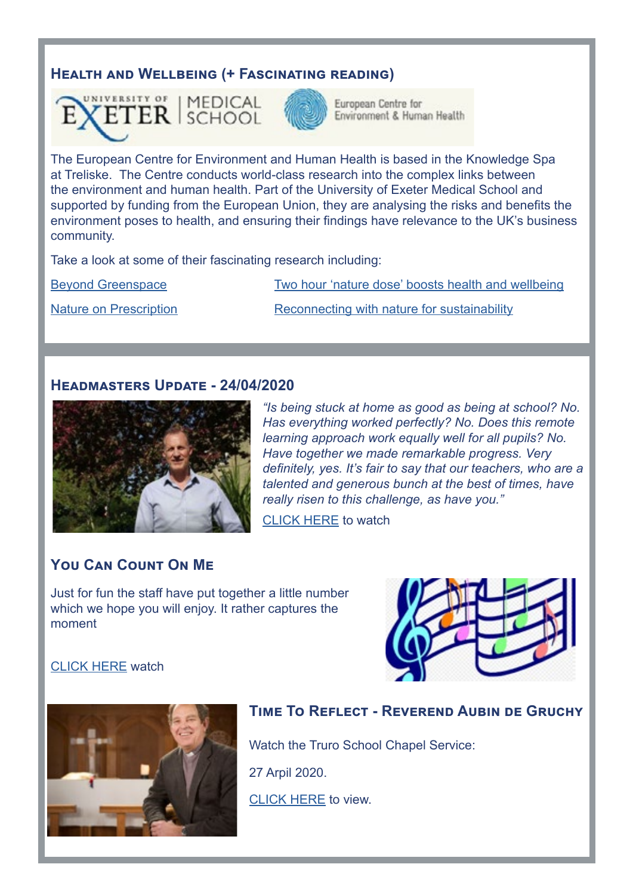## **Health and Wellbeing (+ Fascinating reading)**





European Centre for Environment & Human Health

The European Centre for Environment and Human Health is based in the Knowledge Spa at Treliske. The Centre conducts world-class research into the complex links between the environment and human health. Part of the University of Exeter Medical School and supported by funding from the European Union, they are analysing the risks and benefits the environment poses to health, and ensuring their findings have relevance to the UK's business community.

Take a look at some of their fascinating research including:

[Beyond Greenspace](https://www.ecehh.org/research/beyond-greenspace/) [Two hour 'nature dose' boosts health and wellbeing](https://www.ecehh.org/news/2hr-nature-dose/)

[Nature on Prescription](https://www.ecehh.org/research/nature-prescription/) **[Reconnecting with nature for sustainability](https://www.ecehh.org/news/neighbourhood-nature/)** 

#### **Headmasters Update - 24/04/2020**



*"Is being stuck at home as good as being at school? No. Has everything worked perfectly? No. Does this remote learning approach work equally well for all pupils? No. Have together we made remarkable progress. Very definitely, yes. It's fair to say that our teachers, who are a talented and generous bunch at the best of times, have really risen to this challenge, as have you."*

[CLICK HERE](https://www.truroschool.com/latest-news/andrew-gordon-brown-24-04-20/) to watch

## **You Can Count On Me**

Just for fun the staff have put together a little number which we hope you will enjoy. It rather captures the moment



#### [CLICK HERE](https://www.facebook.com/TruroSchool/videos/522243388448062/) watch



## **Time To Reflect - Reverend Aubin de Gruchy**

Watch the Truro School Chapel Service:

27 Arpil 2020.

[CLICK HERE](https://www.youtube.com/watch?v=n9Ys-m7LRHY) to view.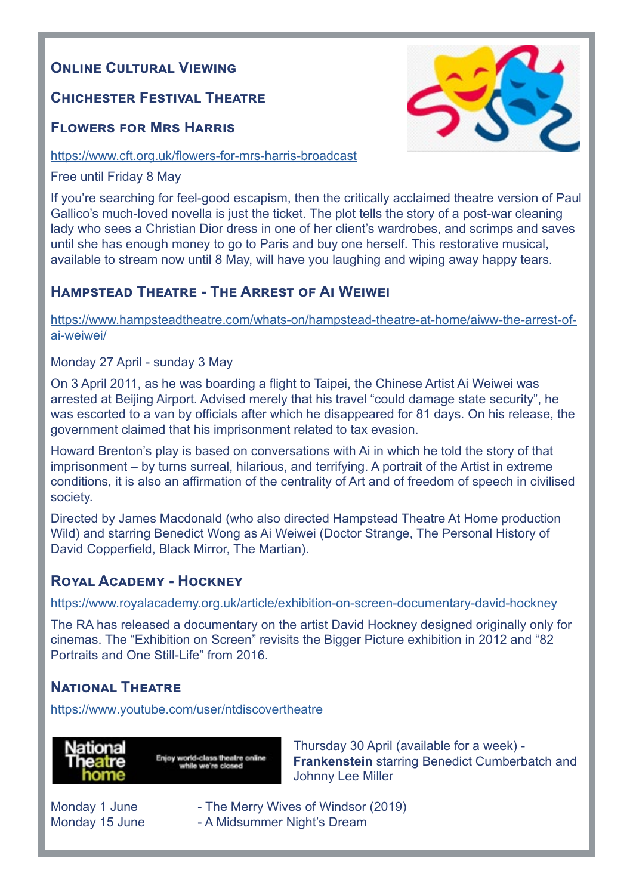## **ONLINE CULTURAL VIEWING**

## **Chichester Festival Theatre**

## **[Flowers for Mrs Harris](https://www.cft.org.uk/flowers-for-mrs-harris-broadcast)**

#### <https://www.cft.org.uk/flowers-for-mrs-harris-broadcast>

Free until Friday 8 May

If you're searching for feel-good escapism, then the critically acclaimed theatre version of Paul Gallico's much-loved novella is just the ticket. The plot tells the story of a post-war cleaning lady who sees a Christian Dior dress in one of her client's wardrobes, and scrimps and saves until she has enough money to go to Paris and buy one herself. This restorative musical, available to stream now until 8 May, will have you laughing and wiping away happy tears.

## **Hampstead Theatre - The Arrest of Ai Weiwei**

[https://www.hampsteadtheatre.com/whats-on/hampstead-theatre-at-home/aiww-the-arrest-of](https://www.hampsteadtheatre.com/whats-on/hampstead-theatre-at-home/aiww-the-arrest-of-ai-weiwei/)[ai-weiwei/](https://www.hampsteadtheatre.com/whats-on/hampstead-theatre-at-home/aiww-the-arrest-of-ai-weiwei/)

#### [Monday 27 April - sunday 3 May](http://Monday 27 April - sunday 3 May)

On 3 April 2011, as he was boarding a flight to Taipei, the Chinese Artist Ai Weiwei was arrested at Beijing Airport. Advised merely that his travel "could damage state security", he was escorted to a van by officials after which he disappeared for 81 days. On his release, the government claimed that his imprisonment related to tax evasion.

Howard Brenton's play is based on conversations with Ai in which he told the story of that imprisonment – by turns surreal, hilarious, and terrifying. A portrait of the Artist in extreme conditions, it is also an affirmation of the centrality of Art and of freedom of speech in civilised society.

Directed by James Macdonald (who also directed Hampstead Theatre At Home production Wild) and starring Benedict Wong as Ai Weiwei (Doctor Strange, The Personal History of David Copperfield, Black Mirror, The Martian).

## **Royal Academy - Hockney**

https://www.royalacademy.org.uk/article/exhibition-on-screen-documentary-david-hockney

The RA has released a documentary on the artist David Hockney designed originally only for cinemas. The "Exhibition on Screen" revisits the Bigger Picture exhibition in 2012 and "82 Portraits and One Still-Life" from 2016.

## **National Theatre**

https://www.youtube.com/user/ntdiscovertheatre



Enjoy world-class theatre online

Thursday 30 April (available for a week) - **Frankenstein** starring Benedict Cumberbatch and Johnny Lee Miller

- Monday 1 June  **- The Merry Wives of Windsor (2019)**
- Monday 15 June  **A Midsummer Night's Dream**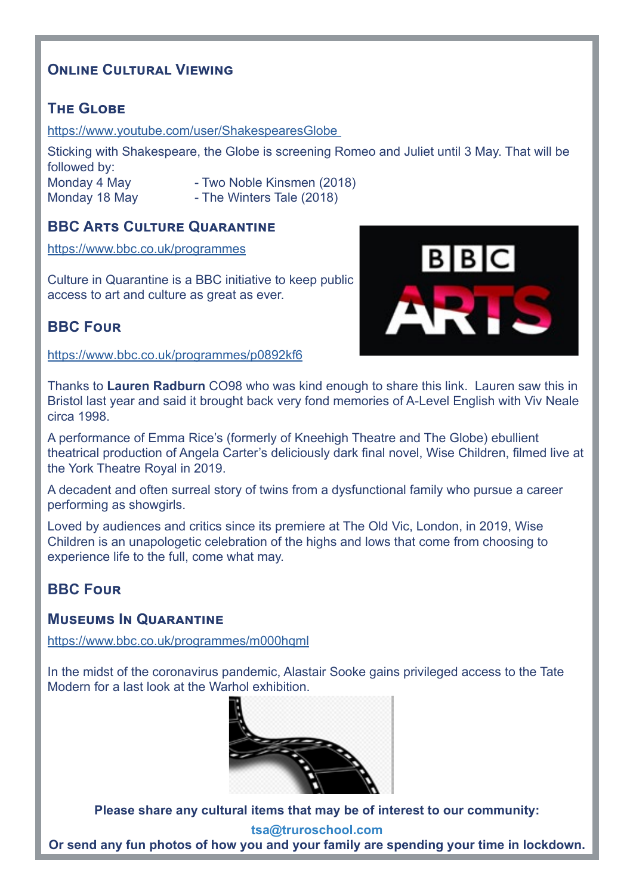## **Online Cultural Viewing**

## **The Globe**

https://www.youtube.com/user/ShakespearesGlobe

Sticking with Shakespeare, the Globe is screening Romeo and Juliet until 3 May. That will be followed by: Monday 4 May - Two Noble Kinsmen (2018)

- Monday 18 May  **The Winters Tale (2018)**
- -

## **BBC Arts Culture Quarantine**

[https://www.bbc.co.uk/programmes](https://www.bbc.co.uk/programmes/articles/45gMYKsDtlRx1WdTCZh3q2b/culture-in-quarantine-tv-radio-and-digital-schedule)

Culture in Quarantine is a BBC initiative to keep public access to art and culture as great as ever.



## **BBC Four**

<https://www.bbc.co.uk/programmes/p0892kf6>

Thanks to **Lauren Radburn** CO98 who was kind enough to share this link. Lauren saw this in Bristol last year and said it brought back very fond memories of A-Level English with Viv Neale circa 1998.

A performance of Emma Rice's (formerly of Kneehigh Theatre and The Globe) ebullient theatrical production of Angela Carter's deliciously dark final novel, Wise Children, filmed live at the York Theatre Royal in 2019.

A decadent and often surreal story of twins from a dysfunctional family who pursue a career performing as showgirls.

Loved by audiences and critics since its premiere at The Old Vic, London, in 2019, Wise Children is an unapologetic celebration of the highs and lows that come from choosing to experience life to the full, come what may.

## **BBC Four**

## **Museums In Quarantine**

<https://www.bbc.co.uk/programmes/m000hqml>

[In the midst of the coronavirus pandemic, Alastair Sooke gains privileged access to the Tate](http://In the midst of the coronavirus pandemic, Alastair Sooke gains privileged access to the Tate Modern )  [Modern for a last look at the Warhol exhibition.](http://In the midst of the coronavirus pandemic, Alastair Sooke gains privileged access to the Tate Modern )



**[Please share any cultural items that may be of interest to our community:](http://Please share with us any items that may be of interest to our community.)** 

**tsa@truroschool.com Or send any fun photos of how you and your family are spending your time in lockdown.**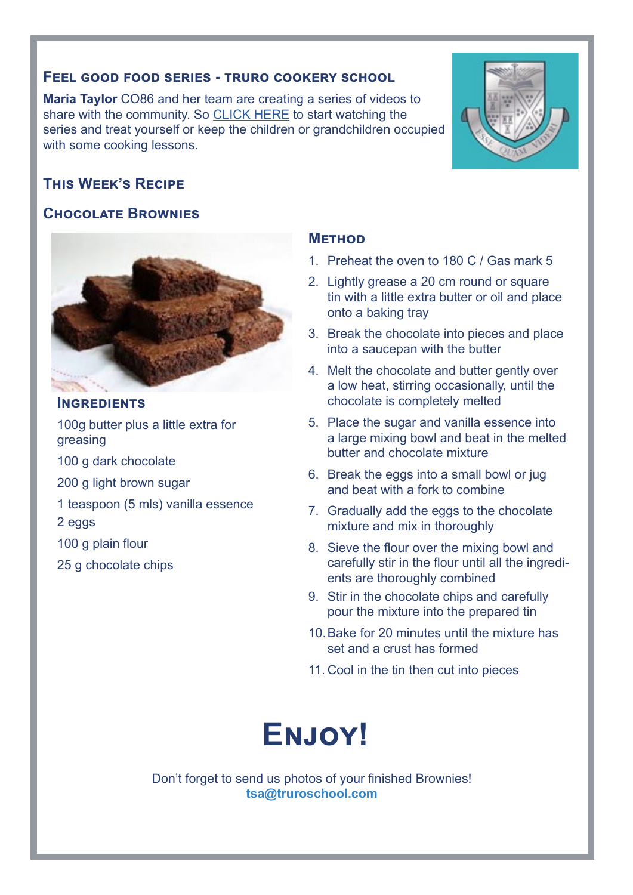#### **Feel good food series - truro cookery school**

**Maria Taylor** CO86 and her team are creating a series of videos to share with the community. So [CLICK HERE](https://www.facebook.com/pg/truroschoolcookery/videos/?ref=page_internal) to start watching the series and treat yourself or keep the children or grandchildren occupied with some cooking lessons.

## **This Week's Recipe**

## **Chocolate Brownies**



#### **Ingredients**

100g butter plus a little extra for greasing

100 g dark chocolate

200 g light brown sugar

1 teaspoon (5 mls) vanilla essence

2 eggs

- 100 g plain flour
- 25 g chocolate chips

## **Method**

- 1. Preheat the oven to 180 C / Gas mark 5
- 2. Lightly grease a 20 cm round or square tin with a little extra butter or oil and place onto a baking tray
- 3. Break the chocolate into pieces and place into a saucepan with the butter
- 4. Melt the chocolate and butter gently over a low heat, stirring occasionally, until the chocolate is completely melted
- 5. Place the sugar and vanilla essence into a large mixing bowl and beat in the melted butter and chocolate mixture
- 6. Break the eggs into a small bowl or jug and beat with a fork to combine
- 7. Gradually add the eggs to the chocolate mixture and mix in thoroughly
- 8. Sieve the flour over the mixing bowl and carefully stir in the flour until all the ingredients are thoroughly combined
- 9. Stir in the chocolate chips and carefully pour the mixture into the prepared tin
- 10.Bake for 20 minutes until the mixture has set and a crust has formed
- 11. Cool in the tin then cut into pieces

# **Enjoy!**

Don't forget to send us photos of your finished Brownies! **tsa@truroschool.com** 

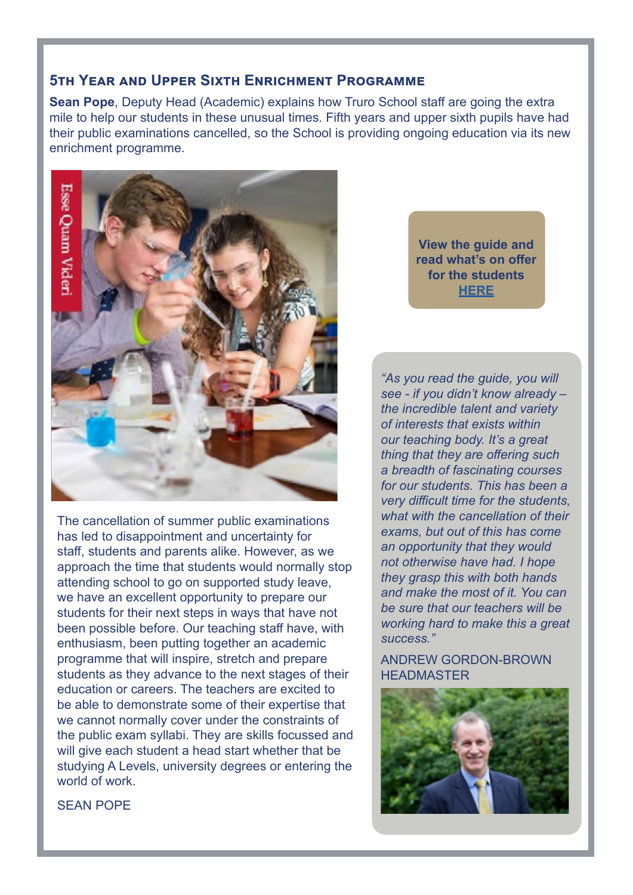## **5th Year and Upper Sixth Enrichment Programme**

**Sean Pope**, Deputy Head (Academic) explains how Truro School staff are going the extra mile to help our students in these unusual times. Fifth years and upper sixth pupils have had their public examinations cancelled, so the School is providing ongoing education via its new enrichment programme.



The cancellation of summer public examinations has led to disappointment and uncertainty for staff, students and parents alike. However, as we approach the time that students would normally stop attending school to go on supported study leave, we have an excellent opportunity to prepare our students for their next steps in ways that have not been possible before. Our teaching staff have, with enthusiasm, been putting together an academic programme that will inspire, stretch and prepare students as they advance to the next stages of their education or careers. The teachers are excited to be able to demonstrate some of their expertise that we cannot normally cover under the constraints of the public exam syllabi. They are skills focussed and will give each student a head start whether that be studying A Levels, university degrees or entering the world of work.

**View the guide and read what's on offer for the students [HERE](https://www.truroschool.com/latest-news/academic-enrichment-programmes/)**

*"As you read the guide, you will see - if you didn't know already – the incredible talent and variety of interests that exists within our teaching body. It's a great thing that they are offering such a breadth of fascinating courses for our students. This has been a very difficult time for the students, what with the cancellation of their exams, but out of this has come an opportunity that they would not otherwise have had. I hope they grasp this with both hands and make the most of it. You can be sure that our teachers will be working hard to make this a great success."*

#### ANDREW GORDON-BROWN HEADMASTER



SEAN POPE